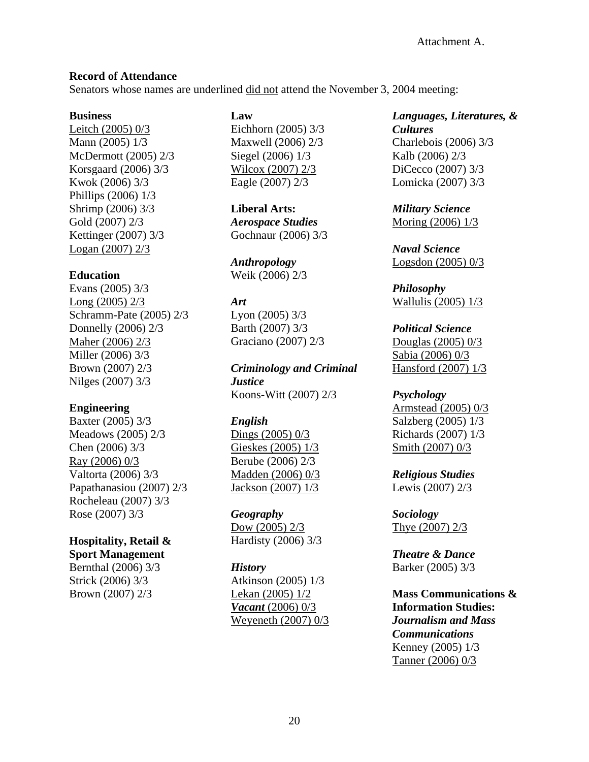#### **Record of Attendance**

Senators whose names are underlined did not attend the November 3, 2004 meeting:

#### **Business**

Leitch (2005) 0/3 Mann (2005) 1/3 McDermott (2005) 2/3 Korsgaard (2006) 3/3 Kwok (2006) 3/3 Phillips (2006) 1/3 Shrimp (2006) 3/3 Gold (2007) 2/3 Kettinger (2007) 3/3 Logan (2007) 2/3

## **Education**

Evans (2005) 3/3 Long (2005) 2/3 Schramm-Pate (2005) 2/3 Donnelly (2006) 2/3 Maher (2006) 2/3 Miller (2006) 3/3 Brown (2007) 2/3 Nilges (2007) 3/3

## **Engineering**

Baxter (2005) 3/3 Meadows (2005) 2/3 Chen (2006) 3/3 Ray (2006) 0/3 Valtorta (2006) 3/3 Papathanasiou (2007) 2/3 Rocheleau (2007) 3/3 Rose (2007) 3/3

# **Hospitality, Retail &**

**Sport Management** Bernthal (2006) 3/3 Strick (2006) 3/3 Brown (2007) 2/3

## **Law**

Eichhorn (2005) 3/3 Maxwell (2006) 2/3 Siegel (2006) 1/3 Wilcox (2007) 2/3 Eagle (2007) 2/3

**Liberal Arts:**  *Aerospace Studies* Gochnaur (2006) 3/3

*Anthropology* Weik (2006) 2/3

### *Art*

Lyon (2005) 3/3 Barth (2007) 3/3 Graciano (2007) 2/3

*Criminology and Criminal Justice*  Koons-Witt (2007) 2/3

# *English*

Dings (2005) 0/3 Gieskes (2005) 1/3 Berube (2006) 2/3 Madden (2006) 0/3 Jackson (2007) 1/3

#### *Geography*

Dow (2005) 2/3 Hardisty (2006) 3/3

#### *History*

Atkinson (2005) 1/3 Lekan (2005) 1/2 *Vacant* (2006) 0/3 Weyeneth (2007) 0/3

## *Languages, Literatures, & Cultures* Charlebois (2006) 3/3 Kalb (2006) 2/3 DiCecco (2007) 3/3 Lomicka (2007) 3/3

*Military Science*  Moring (2006) 1/3

*Naval Science*  Logsdon (2005) 0/3

*Philosophy* Wallulis (2005) 1/3

*Political Science*  Douglas (2005) 0/3 Sabia (2006) 0/3 Hansford (2007) 1/3

## *Psychology*

Armstead (2005) 0/3 Salzberg (2005) 1/3 Richards (2007) 1/3 Smith (2007) 0/3

#### *Religious Studies*  Lewis (2007) 2/3

*Sociology*  Thye (2007) 2/3

*Theatre & Dance*  Barker (2005) 3/3

**Mass Communications & Information Studies:**  *Journalism and Mass Communications*  Kenney (2005) 1/3 Tanner (2006) 0/3